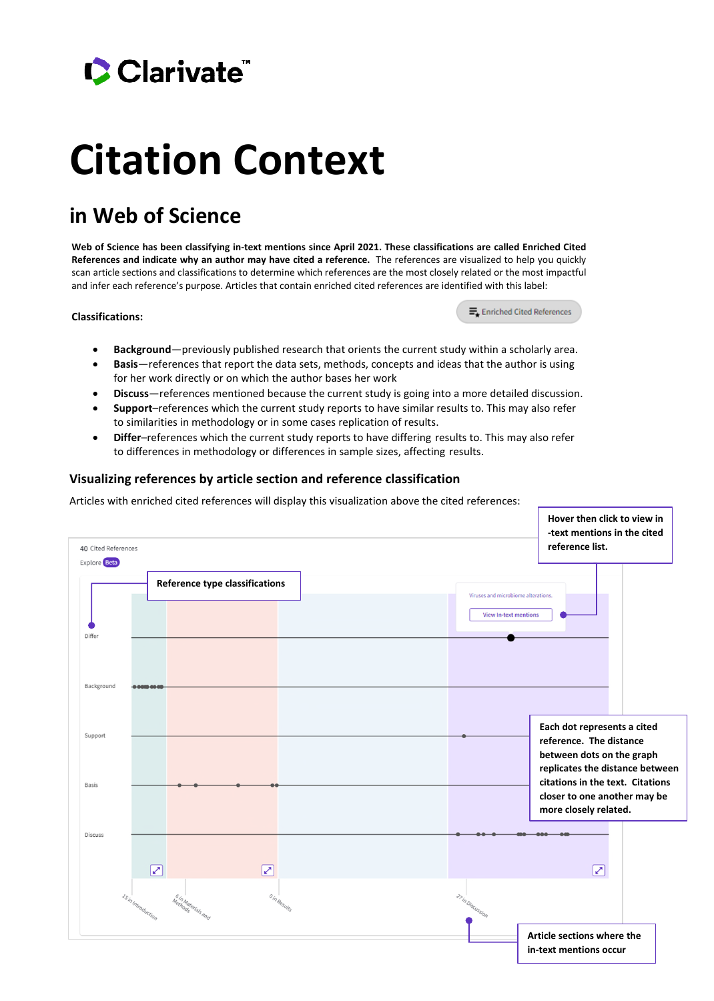## Clarivate

# **Citation Context**

### **in Web of Science**

**Web of Science has been classifying in-text mentions since April 2021. These classifications are called Enriched Cited References and indicate why an author may have cited a reference.** The references are visualized to help you quickly scan article sections and classifications to determine which references are the most closely related or the most impactful and infer each reference's purpose. Articles that contain enriched cited references are identified with this label:

#### **Classifications:**

E. Enriched Cited References

- **Background**—previously published research that orients the current study within a scholarly area.
- **Basis**—references that report the data sets, methods, concepts and ideas that the author is using for her work directly or on which the author bases her work
- **Discuss**—references mentioned because the current study is going into a more detailed discussion.
- **Support**–references which the current study reports to have similar results to. This may also refer to similarities in methodology or in some cases replication of results.
- **Differ**–references which the current study reports to have differing results to. This may also refer to differences in methodology or differences in sample sizes, affecting results.

#### **Visualizing references by article section and reference classification**

Articles with enriched cited references will display this visualization above the cited references:

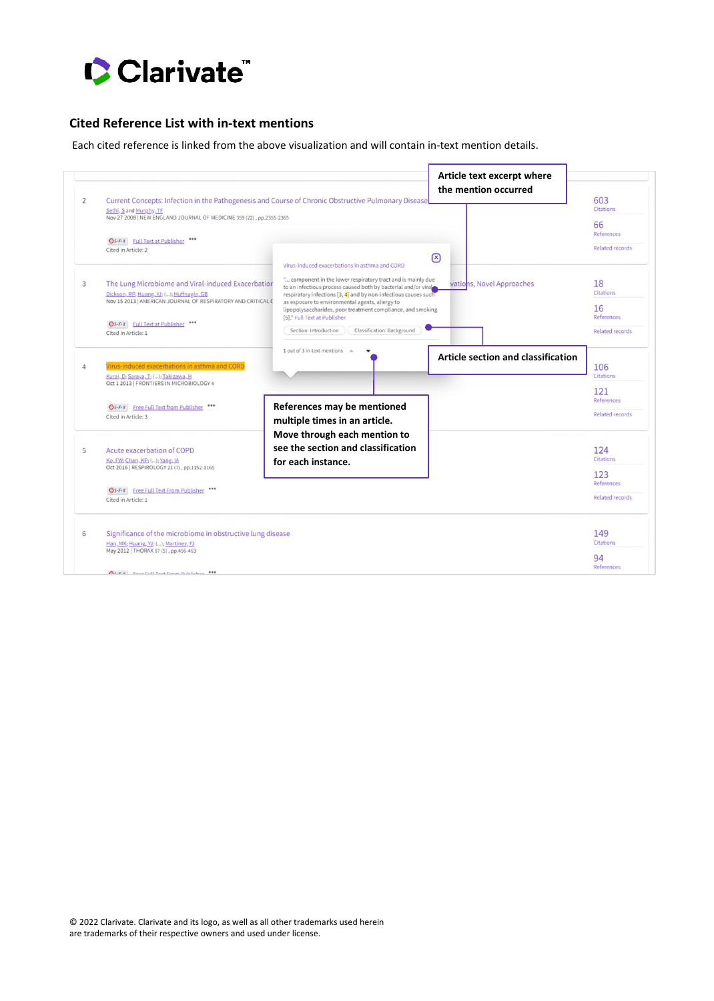

#### **Cited Reference List with in-text mentions**

Each cited reference is linked from the above visualization and will contain in-text mention details.

| $\overline{2}$ | Current Concepts: Infection in the Pathogenesis and Course of Chronic Obstructive Pulmonary Disease<br>Sethi, S and Murphy, TF<br>Nov 27 2008   NEW ENGLAND JOURNAL OF MEDICINE 359 (22), pp.2355-2365                         |                                                                                                                                                                                                                                                                                                                                                                                                            | Article text excerpt where<br>the mention occurred | 603<br>Citations                                                       |
|----------------|--------------------------------------------------------------------------------------------------------------------------------------------------------------------------------------------------------------------------------|------------------------------------------------------------------------------------------------------------------------------------------------------------------------------------------------------------------------------------------------------------------------------------------------------------------------------------------------------------------------------------------------------------|----------------------------------------------------|------------------------------------------------------------------------|
|                | <b>GS-F-X</b> Full Text at Publisher<br>Cited in Article: 2                                                                                                                                                                    | Virus-induced exacerbations in asthma and CORD                                                                                                                                                                                                                                                                                                                                                             | $\mathbb{R}$                                       | 66<br>References<br><b>Related records</b>                             |
| 3              | The Lung Microbiome and Viral-induced Exacerbation<br>Dickson, RP; Huang, YJ; (); Huffnagle, GB<br>Nov 15 2013   AMERICAN JOURNAL OF RESPIRATORY AND CRITICAL C<br><b>Gs-F-X</b> Full Text at Publisher<br>Cited in Article: 1 | " component in the lower respiratory tract and is mainly due<br>to an infectious process caused both by bacterial and/or viral<br>respiratory infections [3, 4] and by non-infectious causes such<br>as exposure to environmental agents, allergy to<br>lipopolysaccharides, poor treatment compliance, and smoking<br>[5]." Full Text at Publisher<br>Classification: Background<br>Section: Introduction | vations, Novel Approaches                          | 18<br><b>Citations</b><br>16<br>References<br>Related records          |
| 4              | Virus-induced exacerbations in asthma and CORD<br>Kuraj, D; Saraya, T; (); Takizawa, H<br>Oct 1 2013   FRONTIERS IN MICROBIOLOGY 4<br><b>GS-F-X</b> Free Full Text from Publisher<br>Cited in Article: 3                       | 1 out of 3 in-text mentions<br>Article section and classification<br>References may be mentioned<br>multiple times in an article.                                                                                                                                                                                                                                                                          |                                                    | 106<br>Citations<br>121<br><b>References</b><br><b>Related records</b> |
| 5              | Acute exacerbation of COPD<br>Ko, FW; Chan, KP; (); Yang, IA<br>Oct 2016   RESPIROLOGY 21 (7), pp.1152-1165<br><b>GS-F-X</b> Free Full Text From Publisher ***<br>Cited in Article: 1                                          | Move through each mention to<br>see the section and classification<br>for each instance.                                                                                                                                                                                                                                                                                                                   |                                                    | 124<br>Citations<br>123<br>References<br><b>Related records</b>        |
| 6              | Significance of the microbiome in obstructive lung disease<br>Han, MK; Huang, YJ; (); Martinez, FJ<br>May 2012   THORAX 67 (5), pp.456-463<br><b>CICEY</b> From Full Toyt From Dublisher ***                                   |                                                                                                                                                                                                                                                                                                                                                                                                            |                                                    | 149<br>Citations<br>94<br>References                                   |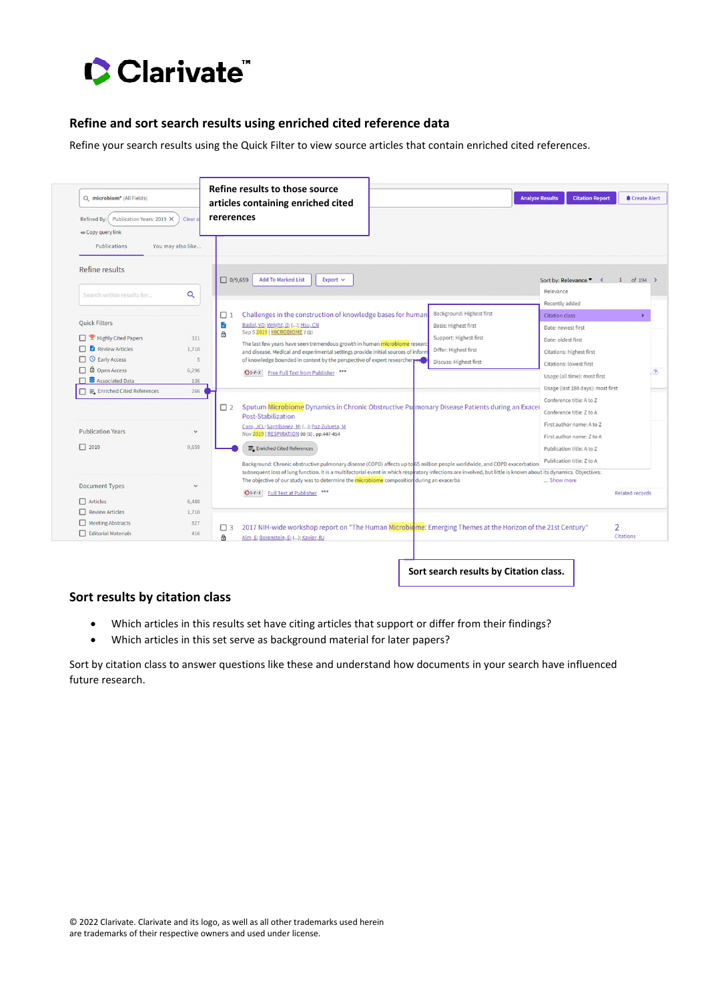

#### **Refine and sort search results using enriched cited reference data**

Refine your search results using the Quick Filter to view source articles that contain enriched cited references.

| Q microbiom* (All Fields)<br>Publication Years: 2019 X<br><b>Refined By:</b><br>o Copy query link<br>Publications | Clear a<br>You may also like | articles containing enriched cited<br>rererences                                                                                                                                                                                                              | <b>Citation Report</b><br>Create Alert<br><b>Analyze Results</b> |
|-------------------------------------------------------------------------------------------------------------------|------------------------------|---------------------------------------------------------------------------------------------------------------------------------------------------------------------------------------------------------------------------------------------------------------|------------------------------------------------------------------|
| Refine results                                                                                                    |                              | <b>Add To Marked List</b><br>$\Box$ 0/9,659<br>Export $\vee$                                                                                                                                                                                                  | Sort by: Relevance ▼ く<br>$1$ of 194 >                           |
| Search within results for                                                                                         | Q                            |                                                                                                                                                                                                                                                               | Relevance                                                        |
|                                                                                                                   |                              | Background: Highest first                                                                                                                                                                                                                                     | Recently added                                                   |
| <b>Ouick Filters</b>                                                                                              |                              | Challenges in the construction of knowledge bases for humar<br>$\Box$ 1<br>a<br>Badal, VD; Wright, D; (); Hsu, CN<br>Basis: Highest first                                                                                                                     | Citation class                                                   |
| Highly Cited Papers                                                                                               |                              | Sep 5 2019   MICROBIOME 7 (1)<br>â<br>Support: Highest first                                                                                                                                                                                                  | Date: newest first                                               |
| <b>Review Articles</b>                                                                                            | 321<br>1,710                 | The last few years have seen tremendous growth in human microbiome researd                                                                                                                                                                                    | Date: oldest first                                               |
| <b>C</b> Early Access                                                                                             | 5                            | Differ: Highest first<br>and disease. Medical and experimental settings provide initial sources of inforn<br>of knowledge bounded in context by the perspective of expert researchers and                                                                     | Citations: highest first                                         |
| □ <b>□</b> Open Access                                                                                            | 6,296                        | Discuss: Highest first                                                                                                                                                                                                                                        | Citations: lowest first                                          |
| □ <b>B</b> Associated Data                                                                                        | 136                          | <b>GS-F-X</b> Free Full Text from Publisher                                                                                                                                                                                                                   | Usage (all time): most first                                     |
| $\Box \equiv$ Enriched Cited References                                                                           | 266                          |                                                                                                                                                                                                                                                               | Usage (last 180 days): most first                                |
|                                                                                                                   |                              |                                                                                                                                                                                                                                                               | Conference title: A to Z                                         |
|                                                                                                                   |                              | Sputum Microbiome Dynamics in Chronic Obstructive Pu monary Disease Patients during an Exacer<br>$\Box$ 2<br>Post-Stabilization                                                                                                                               | Conference title: Z to A                                         |
|                                                                                                                   |                              | Caro, JCL; Santibanez, M; (); Paz-Zulueta, M                                                                                                                                                                                                                  | First author name: A to Z                                        |
| <b>Publication Years</b>                                                                                          | $\checkmark$                 | Nov 2019   RESPIRATION 98 (5), pp.447-454                                                                                                                                                                                                                     | First author name: Z to A                                        |
| $\Box$ 2019                                                                                                       | 9,659                        | E. Enriched Cited References                                                                                                                                                                                                                                  | Publication title: A to Z                                        |
|                                                                                                                   |                              | Background: Chronic obstructive pulmonary disease (COPD) affects up to 65 million people worldwide, and COPD exacerbation                                                                                                                                     | Publication title: Z to A                                        |
|                                                                                                                   |                              | subsequent loss of lung function. It is a multifactorial event in which respiratory infections are involved, but little is known about its dynamics. Objectives:<br>The objective of our study was to determine the microbiome composition during an exacerba | Show more                                                        |
| <b>Document Types</b>                                                                                             | $\checkmark$                 | <b>GS-F-X</b> Full Text at Publisher                                                                                                                                                                                                                          | <b>Related records</b>                                           |
| $\Box$ Articles                                                                                                   | 6,480                        |                                                                                                                                                                                                                                                               |                                                                  |
| $\Box$ Review Articles                                                                                            | 1,710                        |                                                                                                                                                                                                                                                               |                                                                  |
| Meeting Abstracts                                                                                                 | 827                          | 2017 NIH-wide workshop report on "The Human Microbiome: Emerging Themes at the Horizon of the 21st Century"<br>$\Box$ 3                                                                                                                                       | $\overline{2}$                                                   |
| Editorial Materials                                                                                               | 416                          | â<br>Alm, E: Borenstein, E: (): Xavier, RJ                                                                                                                                                                                                                    | <b>Citations</b>                                                 |

**Sort search results by Citation class.** 

#### **Sort results by citation class**

- Which articles in this results set have citing articles that support or differ from their findings?
- Which articles in this set serve as background material for later papers?

Sort by citation class to answer questions like these and understand how documents in your search have influenced future research.